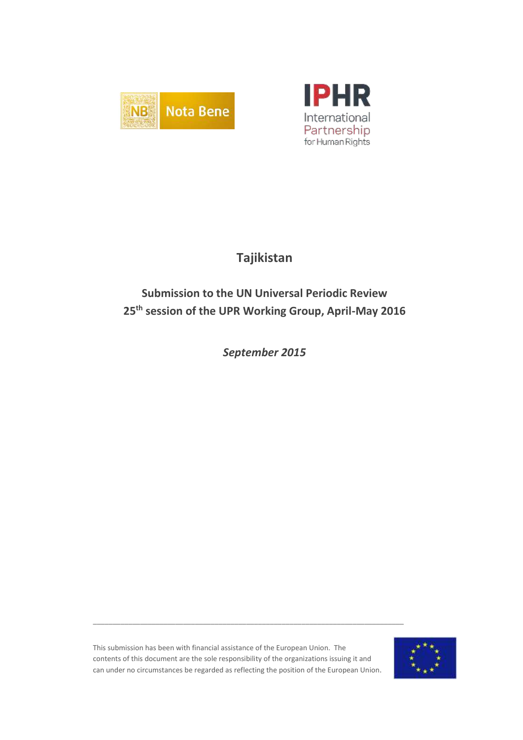



## **Tajikistan**

# **Submission to the UN Universal Periodic Review 25th session of the UPR Working Group, April-May 2016**

*September 2015*

This submission has been with financial assistance of the European Union. The contents of this document are the sole responsibility of the organizations issuing it and can under no circumstances be regarded as reflecting the position of the European Union.

\_\_\_\_\_\_\_\_\_\_\_\_\_\_\_\_\_\_\_\_\_\_\_\_\_\_\_\_\_\_\_\_\_\_\_\_\_\_\_\_\_\_\_\_\_\_\_\_\_\_\_\_\_\_\_\_\_\_\_\_\_\_\_\_\_\_\_\_\_\_\_\_\_\_\_\_\_\_\_

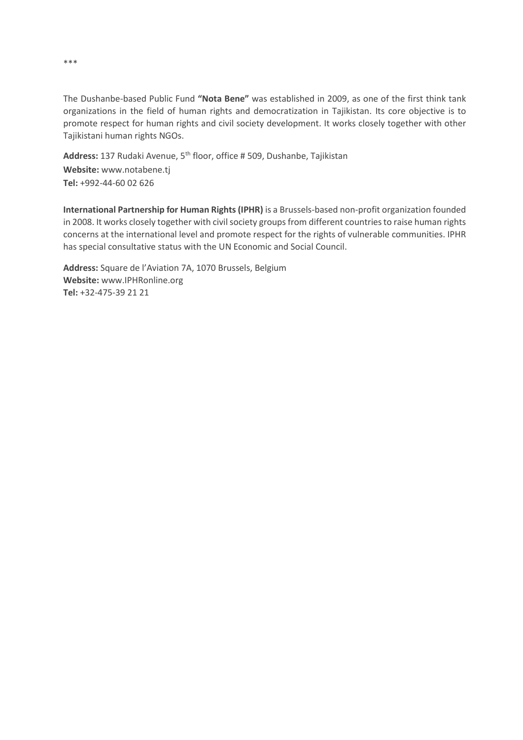The Dushanbe-based Public Fund **"Nota Bene"** was established in 2009, as one of the first think tank organizations in the field of human rights and democratization in Tajikistan. Its core objective is to promote respect for human rights and civil society development. It works closely together with other Tajikistani human rights NGOs.

**Address:** 137 Rudaki Avenue, 5th floor, office # 509, Dushanbe, Tajikistan **Website:** www.notabene.tj **Tel:** +992-44-60 02 626

**International Partnership for Human Rights (IPHR)** is a Brussels-based non-profit organization founded in 2008. It works closely together with civil society groups from different countries to raise human rights concerns at the international level and promote respect for the rights of vulnerable communities. IPHR has special consultative status with the UN Economic and Social Council.

**Address:** Square de l'Aviation 7A, 1070 Brussels, Belgium **Website:** www.IPHRonline.org **Tel:** +32-475-39 21 21

\*\*\*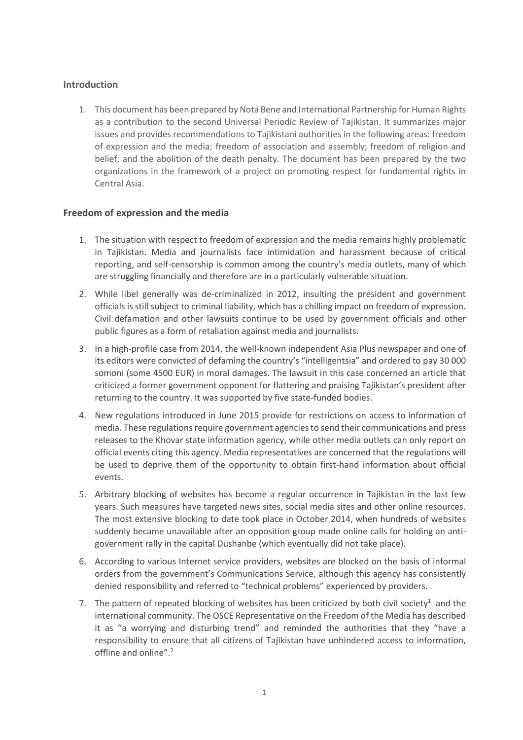## **Introduction**

1. This document has been prepared by Nota Bene and International Partnership for Human Rights as a contribution to the second Universal Periodic Review of Tajikistan. It summarizes major issues and provides recommendations to Tajikistani authorities in the following areas: freedom of expression and the media; freedom of association and assembly; freedom of religion and belief; and the abolition of the death penalty. The document has been prepared by the two organizations in the framework of a project on promoting respect for fundamental rights in Central Asia.

## **Freedom of expression and the media**

- 1. The situation with respect to freedom of expression and the media remains highly problematic in Tajikistan. Media and journalists face intimidation and harassment because of critical reporting, and self-censorship is common among the country's media outlets, many of which are struggling financially and therefore are in a particularly vulnerable situation.
- 2. While libel generally was de-criminalized in 2012, insulting the president and government officials is still subject to criminal liability, which has a chilling impact on freedom of expression. Civil defamation and other lawsuits continue to be used by government officials and other public figures as a form of retaliation against media and journalists.
- 3. In a high-profile case from 2014, the well-known independent Asia Plus newspaper and one of its editors were convicted of defaming the country's "intelligentsia" and ordered to pay 30 000 somoni (some 4500 EUR) in moral damages. The lawsuit in this case concerned an article that criticized a former government opponent for flattering and praising Tajikistan's president after returning to the country. It was supported by five state-funded bodies.
- 4. New regulations introduced in June 2015 provide for restrictions on access to information of media. These regulations require government agencies to send their communications and press releases to the Khovar state information agency, while other media outlets can only report on official events citing this agency. Media representatives are concerned that the regulations will be used to deprive them of the opportunity to obtain first-hand information about official events.
- 5. Arbitrary blocking of websites has become a regular occurrence in Tajikistan in the last few years. Such measures have targeted news sites, social media sites and other online resources. The most extensive blocking to date took place in October 2014, when hundreds of websites suddenly became unavailable after an opposition group made online calls for holding an antigovernment rally in the capital Dushanbe (which eventually did not take place).
- 6. According to various Internet service providers, websites are blocked on the basis of informal orders from the government's Communications Service, although this agency has consistently denied responsibility and referred to "technical problems" experienced by providers.
- 7. The pattern of repeated blocking of websites has been criticized by both civil society<sup>1</sup> and the international community. The OSCE Representative on the Freedom of the Media has described it as "a worrying and disturbing trend" and reminded the authorities that they "have a responsibility to ensure that all citizens of Tajikistan have unhindered access to information, offline and online".2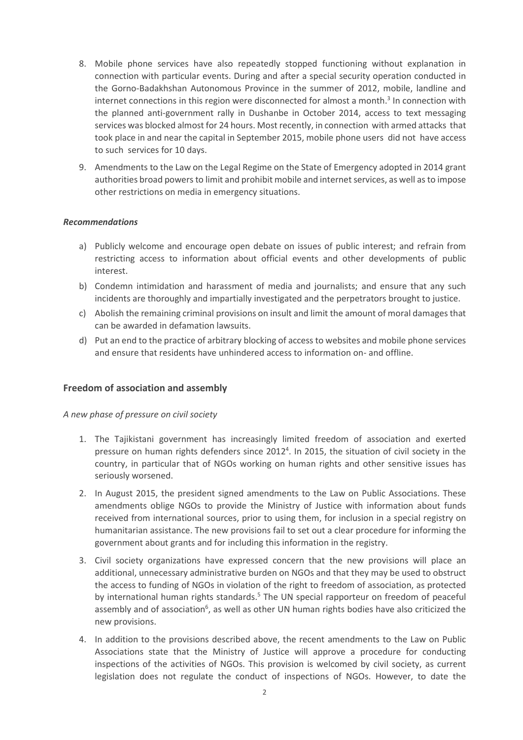- 8. Mobile phone services have also repeatedly stopped functioning without explanation in connection with particular events. During and after a special security operation conducted in the Gorno-Badakhshan Autonomous Province in the summer of 2012, mobile, landline and internet connections in this region were disconnected for almost a month. 3 In connection with the planned anti-government rally in Dushanbe in October 2014, access to text messaging services was blocked almost for 24 hours. Most recently, in connection with armed attacks that took place in and near the capital in September 2015, mobile phone users did not have access to such services for 10 days.
- 9. Amendments to the Law on the Legal Regime on the State of Emergency adopted in 2014 grant authorities broad powers to limit and prohibit mobile and internet services, as well as to impose other restrictions on media in emergency situations.

#### *Recommendations*

- a) Publicly welcome and encourage open debate on issues of public interest; and refrain from restricting access to information about official events and other developments of public interest.
- b) Condemn intimidation and harassment of media and journalists; and ensure that any such incidents are thoroughly and impartially investigated and the perpetrators brought to justice.
- c) Abolish the remaining criminal provisions on insult and limit the amount of moral damages that can be awarded in defamation lawsuits.
- d) Put an end to the practice of arbitrary blocking of access to websites and mobile phone services and ensure that residents have unhindered access to information on- and offline.

#### **Freedom of association and assembly**

*A new phase of pressure on civil society* 

- 1. The Tajikistani government has increasingly limited freedom of association and exerted pressure on human rights defenders since 2012<sup>4</sup>. In 2015, the situation of civil society in the country, in particular that of NGOs working on human rights and other sensitive issues has seriously worsened.
- 2. In August 2015, the president signed amendments to the Law on Public Associations. These amendments oblige NGOs to provide the Ministry of Justice with information about funds received from international sources, prior to using them, for inclusion in a special registry on humanitarian assistance. The new provisions fail to set out a clear procedure for informing the government about grants and for including this information in the registry.
- 3. Civil society organizations have expressed concern that the new provisions will place an additional, unnecessary administrative burden on NGOs and that they may be used to obstruct the access to funding of NGOs in violation of the right to freedom of association, as protected by international human rights standards.<sup>5</sup> The UN special rapporteur on freedom of peaceful assembly and of association<sup>6</sup>, as well as other UN human rights bodies have also criticized the new provisions.
- 4. In addition to the provisions described above, the recent amendments to the Law on Public Associations state that the Ministry of Justice will approve a procedure for conducting inspections of the activities of NGOs. This provision is welcomed by civil society, as current legislation does not regulate the conduct of inspections of NGOs. However, to date the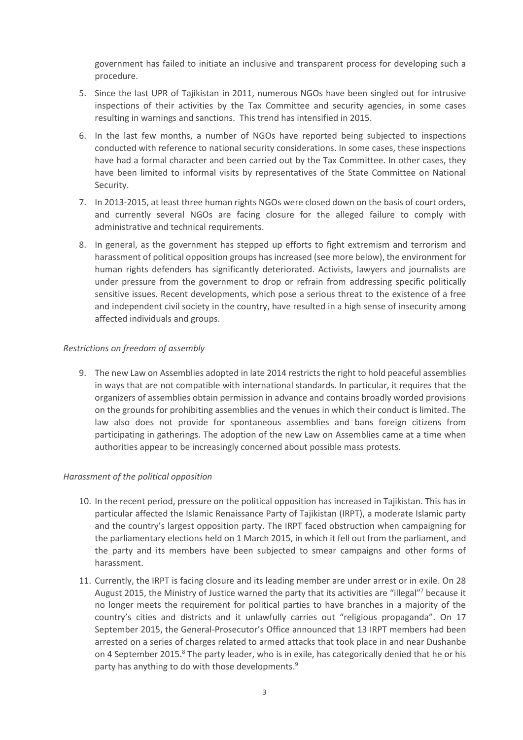government has failed to initiate an inclusive and transparent process for developing such a procedure.

- 5. Since the last UPR of Tajikistan in 2011, numerous NGOs have been singled out for intrusive inspections of their activities by the Tax Committee and security agencies, in some cases resulting in warnings and sanctions. This trend has intensified in 2015.
- 6. In the last few months, a number of NGOs have reported being subjected to inspections conducted with reference to national security considerations. In some cases, these inspections have had a formal character and been carried out by the Tax Committee. In other cases, they have been limited to informal visits by representatives of the State Committee on National Security.
- 7. In 2013-2015, at least three human rights NGOs were closed down on the basis of court orders, and currently several NGOs are facing closure for the alleged failure to comply with administrative and technical requirements.
- 8. In general, as the government has stepped up efforts to fight extremism and terrorism and harassment of political opposition groups has increased (see more below), the environment for human rights defenders has significantly deteriorated. Activists, lawyers and journalists are under pressure from the government to drop or refrain from addressing specific politically sensitive issues. Recent developments, which pose a serious threat to the existence of a free and independent civil society in the country, have resulted in a high sense of insecurity among affected individuals and groups.

### *Restrictions on freedom of assembly*

9. The new Law on Assemblies adopted in late 2014 restricts the right to hold peaceful assemblies in ways that are not compatible with international standards. In particular, it requires that the organizers of assemblies obtain permission in advance and contains broadly worded provisions on the grounds for prohibiting assemblies and the venues in which their conduct is limited. The law also does not provide for spontaneous assemblies and bans foreign citizens from participating in gatherings. The adoption of the new Law on Assemblies came at a time when authorities appear to be increasingly concerned about possible mass protests.

#### *Harassment of the political opposition*

- 10. In the recent period, pressure on the political opposition has increased in Tajikistan. This has in particular affected the Islamic Renaissance Party of Tajikistan (IRPT), a moderate Islamic party and the country's largest opposition party. The IRPT faced obstruction when campaigning for the parliamentary elections held on 1 March 2015, in which it fell out from the parliament, and the party and its members have been subjected to smear campaigns and other forms of harassment.
- 11. Currently, the IRPT is facing closure and its leading member are under arrest or in exile. On 28 August 2015, the Ministry of Justice warned the party that its activities are "illegal"<sup>7</sup> because it no longer meets the requirement for political parties to have branches in a majority of the country's cities and districts and it unlawfully carries out "religious propaganda". On 17 September 2015, the General-Prosecutor's Office announced that 13 IRPT members had been arrested on a series of charges related to armed attacks that took place in and near Dushanbe on 4 September 2015.<sup>8</sup> The party leader, who is in exile, has categorically denied that he or his party has anything to do with those developments.<sup>9</sup>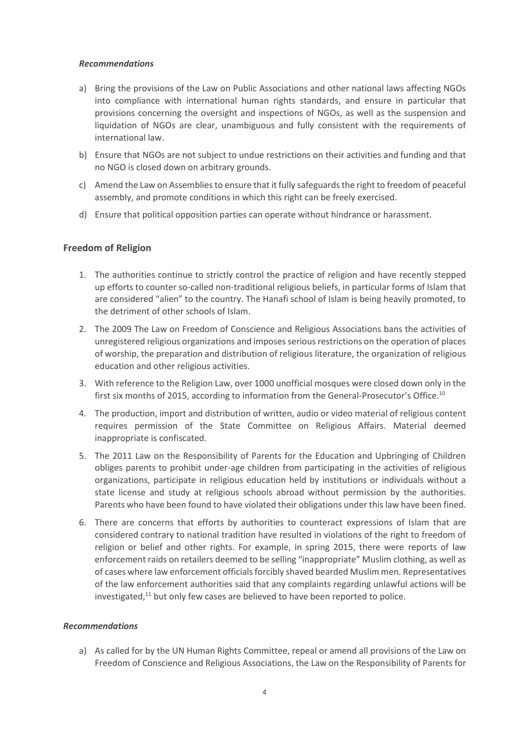#### *Recommendations*

- a) Bring the provisions of the Law on Public Associations and other national laws affecting NGOs into compliance with international human rights standards, and ensure in particular that provisions concerning the oversight and inspections of NGOs, as well as the suspension and liquidation of NGOs are clear, unambiguous and fully consistent with the requirements of international law.
- b) Ensure that NGOs are not subject to undue restrictions on their activities and funding and that no NGO is closed down on arbitrary grounds.
- c) Amend the Law on Assemblies to ensure that it fully safeguards the right to freedom of peaceful assembly, and promote conditions in which this right can be freely exercised.
- d) Ensure that political opposition parties can operate without hindrance or harassment.

## **Freedom of Religion**

- 1. The authorities continue to strictly control the practice of religion and have recently stepped up efforts to counter so-called non-traditional religious beliefs, in particular forms of Islam that are considered "alien" to the country. The Hanafi school of Islam is being heavily promoted, to the detriment of other schools of Islam.
- 2. The 2009 The Law on Freedom of Conscience and Religious Associations bans the activities of unregistered religious organizations and imposes serious restrictions on the operation of places of worship, the preparation and distribution of religious literature, the organization of religious education and other religious activities.
- 3. With reference to the Religion Law, over 1000 unofficial mosques were closed down only in the first six months of 2015, according to information from the General-Prosecutor's Office.<sup>10</sup>
- 4. The production, import and distribution of written, audio or video material of religious content requires permission of the State Committee on Religious Affairs. Material deemed inappropriate is confiscated.
- 5. The 2011 Law on the Responsibility of Parents for the Education and Upbringing of Children obliges parents to prohibit under-age children from participating in the activities of religious organizations, participate in religious education held by institutions or individuals without a state license and study at religious schools abroad without permission by the authorities. Parents who have been found to have violated their obligations under this law have been fined.
- 6. There are concerns that efforts by authorities to counteract expressions of Islam that are considered contrary to national tradition have resulted in violations of the right to freedom of religion or belief and other rights. For example, in spring 2015, there were reports of law enforcement raids on retailers deemed to be selling "inappropriate" Muslim clothing, as well as of cases where law enforcement officials forcibly shaved bearded Muslim men. Representatives of the law enforcement authorities said that any complaints regarding unlawful actions will be investigated,<sup>11</sup> but only few cases are believed to have been reported to police.

## *Recommendations*

a) As called for by the UN Human Rights Committee, repeal or amend all provisions of the Law on Freedom of Conscience and Religious Associations, the Law on the Responsibility of Parents for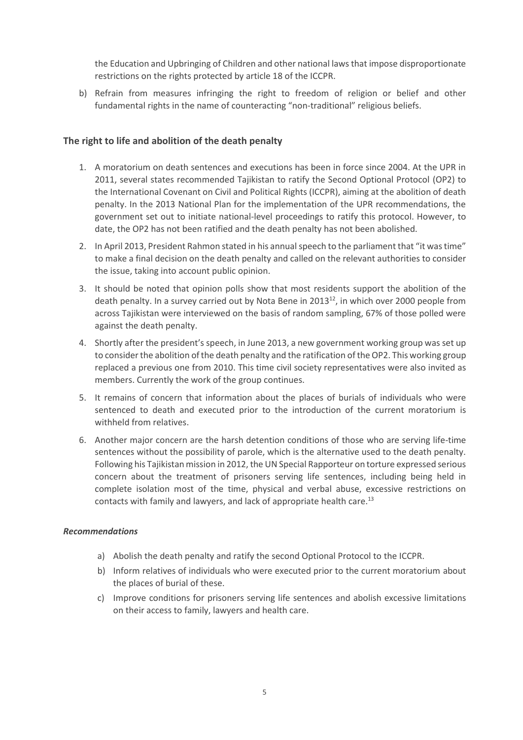the Education and Upbringing of Children and other national laws that impose disproportionate restrictions on the rights protected by article 18 of the ICCPR.

b) Refrain from measures infringing the right to freedom of religion or belief and other fundamental rights in the name of counteracting "non-traditional" religious beliefs.

### **The right to life and abolition of the death penalty**

- 1. A moratorium on death sentences and executions has been in force since 2004. At the UPR in 2011, several states recommended Tajikistan to ratify the Second Optional Protocol (OP2) to the International Covenant on Civil and Political Rights (ICCPR), aiming at the abolition of death penalty. In the 2013 National Plan for the implementation of the UPR recommendations, the government set out to initiate national-level proceedings to ratify this protocol. However, to date, the OP2 has not been ratified and the death penalty has not been abolished.
- 2. In April 2013, President Rahmon stated in his annual speech to the parliament that "it was time" to make a final decision on the death penalty and called on the relevant authorities to consider the issue, taking into account public opinion.
- 3. It should be noted that opinion polls show that most residents support the abolition of the death penalty. In a survey carried out by Nota Bene in 2013<sup>12</sup>, in which over 2000 people from across Tajikistan were interviewed on the basis of random sampling, 67% of those polled were against the death penalty.
- 4. Shortly after the president's speech, in June 2013, a new government working group was set up to consider the abolition of the death penalty and the ratification of the OP2. This working group replaced a previous one from 2010. This time civil society representatives were also invited as members. Currently the work of the group continues.
- 5. It remains of concern that information about the places of burials of individuals who were sentenced to death and executed prior to the introduction of the current moratorium is withheld from relatives.
- 6. Another major concern are the harsh detention conditions of those who are serving life-time sentences without the possibility of parole, which is the alternative used to the death penalty. Following his Tajikistan mission in 2012, the UN Special Rapporteur on torture expressed serious concern about the treatment of prisoners serving life sentences, including being held in complete isolation most of the time, physical and verbal abuse, excessive restrictions on contacts with family and lawyers, and lack of appropriate health care.<sup>13</sup>

#### *Recommendations*

- a) Abolish the death penalty and ratify the second Optional Protocol to the ICCPR.
- b) Inform relatives of individuals who were executed prior to the current moratorium about the places of burial of these.
- c) Improve conditions for prisoners serving life sentences and abolish excessive limitations on their access to family, lawyers and health care.